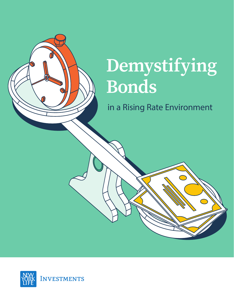

# Demystifying **Bonds**

in a Rising Rate Environment

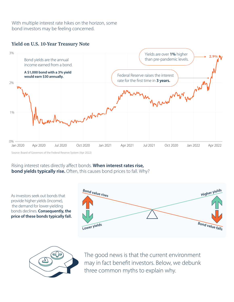With multiple interest rate hikes on the horizon, some bond investors may be feeling concerned.







Source: Board of Governors of the Federal Reserve System (Apr 2022)

### Rising interest rates directly affect bonds. When interest rates rise, **bond yields typically rise.** Often, this causes bond prices to fall. Why?

As investors seek out bonds that provide higher yields (income), the demand for lower-yielding bonds declines. Consequently, the price of these bonds typically fall.





The good news is that the current environment may in fact benefit investors. Below, we debunk three common myths to explain why.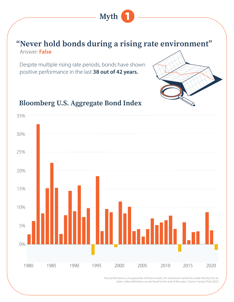### "Never hold bonds during a rising rate environment" Answer: False

**Myth** 

Despite multiple rising rate periods, bonds have shown positive performance in the last 38 out of 42 years.



## **Bloomberg U.S. Aggregate Bond Index**



Past performance is no quarantee of future results. An investment cannot be made directly into an index. Index definitions can be found at the end of this piece. Source: Factset (Feb 2022)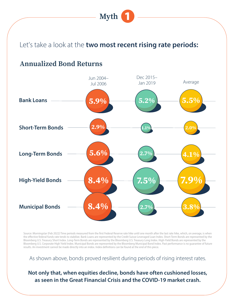

## Let's take a look at the two most recent rising rate periods:

### **Annualized Bond Returns**



Source: Morningstar (Feb 2022) Time periods measured from the first Federal Reserve rate hike until one month after the last rate hike, which, on average, is when the effective federal funds rate tends to stabilize. Bank Loans are represented by the Credit Suisse Leveraged Loan Index. Short-Term Bonds are represented by the Bloomberg U.S. Treasury Short Index. Long-Term Bonds are represented by the Bloomberg U.S. Treasury Long Index. High-Yield Bonds are represented by the Bloomberg U.S. Corporate High Yield Index. Municipal Bonds are represented by the Bloomberg Municipal Bond Index. Past performance is no guarantee of future results. An investment cannot be made directly into an index. Index definitions can be found at the end of this piece.

As shown above, bonds proved resilient during periods of rising interest rates.

### Not only that, when equities decline, bonds have often cushioned losses, as seen in the Great Financial Crisis and the COVID-19 market crash.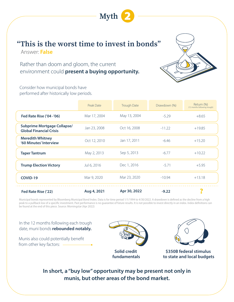

# "This is the worst time to invest in bonds"

Answer: False

Rather than doom and gloom, the current environment could present a buying opportunity.



Consider how municipal bonds have performed after historically low periods.

|                                                                      | Peak Date    | <b>Trough Date</b> | Drawdown (%) | Return (%)<br>(12 months following trough) |
|----------------------------------------------------------------------|--------------|--------------------|--------------|--------------------------------------------|
| Fed Rate Rise ('04 -'06)                                             | Mar 17, 2004 | May 13, 2004       | $-5.29$      | $+8.65$                                    |
| <b>Subprime Mortgage Collapse/</b><br><b>Global Financial Crisis</b> | Jan 23, 2008 | Oct 16, 2008       | $-11.22$     | $+19.85$                                   |
| <b>Meredith Whitney</b><br>'60 Minutes' Interview                    | Oct 12, 2010 | Jan 17, 2011       | $-6.46$      | $+15.20$                                   |
| <b>Taper Tantrum</b>                                                 | May 2, 2013  | Sep 5, 2013        | $-6.77$      | $+10.22$                                   |
| <b>Trump Election Victory</b>                                        | Jul 6, 2016  | Dec 1, 2016        | $-5.71$      | $+5.95$                                    |
| COVID-19                                                             | Mar 9, 2020  | Mar 23, 2020       | $-10.94$     | $+13.18$                                   |
| Fed Rate Rise ('22)                                                  | Aug 4, 2021  | Apr 30, 2022       | $-9.22$      |                                            |

Municipal bonds represented by Bloomberg Municipal Bond Index. Data is for time period 1/1/1994 to 4/30/2022. A drawdown is defined as the decline from a high peak to a pullback low of a specific investment. Past performance is no guarantee of future results. It is not possible to invest directly in an index. Index definitions can be found at the end of this piece. Source: Morningstar (Apr 2022)

In the 12 months following each trough date, muni bonds rebounded notably.

Munis also could potentially benefit from other key factors: -







\$350B federal stimulus to state and local budgets

In short, a "buy low" opportunity may be present not only in munis, but other areas of the bond market.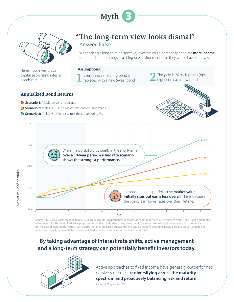



Here's how investors can capitalize on rising rates as bonds mature:

# "The long-term view looks dismal"

Answer: False

When taking a long-term perspective, investors could potentially generate more income from their bond holdings in a rising rate environment than they would have otherwise.

#### **Assumptions:**

Every year, a maturing bond is replaced with a new 5-year bond

The yield is 20 basis points (bps) higher on each new bond

#### **Annualized Bond Returns**

- Scenario 1: Yields remain unchanged
- ◯ Scenario 2: Yields fall 100 bps across the curve during Year 1
- ◯ Scenario 3: Yields rise 100 bps across the curve during Year 1





Source: RBC Global Asset Management (2020). This example is hypothetical in nature, does not reflect actual investment results, and is not a guarantee of future results. This is for illustrative purposes only and not indicative of any investment. There are certain limitations inherent in hypothetical portfolios and hypothetical results, particularly that they are based on assumptions and do not reflect trading in actual client accounts and do not reflect the impact that material economic and market factors may have had on an actual account.

### By taking advantage of interest rate shifts, active management and a long-term strategy can potentially benefit investors today.



Active approaches to fixed income have generally outperformed passive strategies by diversifying across the maturity spectrum and proactively balancing risk and return.

Source: J.P. Morgan (Jun 2019)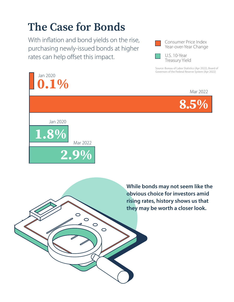# **The Case for Bonds**

With inflation and bond yields on the rise, purchasing newly-issued bonds at higher rates can help offset this impact.



U.S. 10-Year **Treasury Yield** 

Source: Bureau of Labor Statistics (Apr 2022), Board of Governors of the Federal Reserve System (Apr 2022)







 $\overline{O}$ 

 $\circ$ 

 $\circ$ 

 $\overline{O}$ 

While bonds may not seem like the obvious choice for investors amid rising rates, history shows us that they may be worth a closer look.